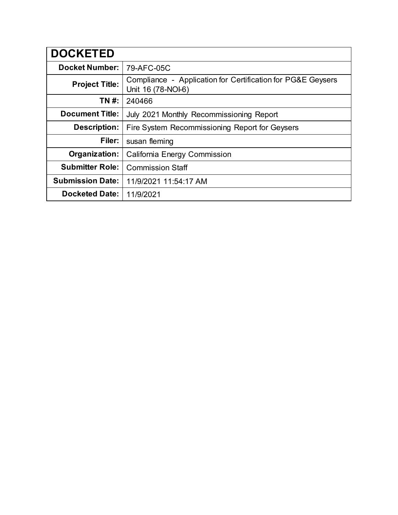| <b>DOCKETED</b>         |                                                                                   |
|-------------------------|-----------------------------------------------------------------------------------|
| <b>Docket Number:</b>   | 79-AFC-05C                                                                        |
| <b>Project Title:</b>   | Compliance - Application for Certification for PG&E Geysers<br>Unit 16 (78-NOI-6) |
| TN #:                   | 240466                                                                            |
| <b>Document Title:</b>  | July 2021 Monthly Recommissioning Report                                          |
| <b>Description:</b>     | Fire System Recommissioning Report for Geysers                                    |
| Filer:                  | susan fleming                                                                     |
| Organization:           | <b>California Energy Commission</b>                                               |
| <b>Submitter Role:</b>  | <b>Commission Staff</b>                                                           |
| <b>Submission Date:</b> | 11/9/2021 11:54:17 AM                                                             |
| <b>Docketed Date:</b>   | 11/9/2021                                                                         |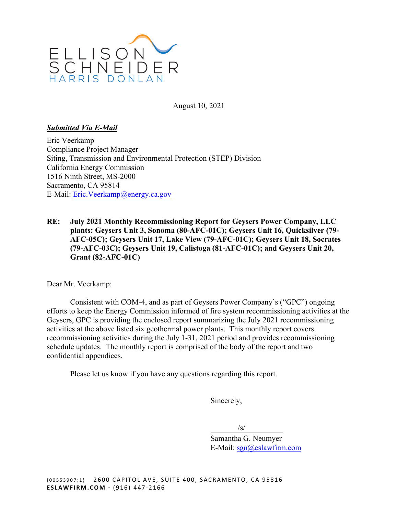

August 10, 2021

#### *Submitted Via E-Mail*

Eric Veerkamp Compliance Project Manager Siting, Transmission and Environmental Protection (STEP) Division California Energy Commission 1516 Ninth Street, MS-2000 Sacramento, CA 95814 E-Mail: [Eric.Veerkamp@energy.ca.gov](mailto:Eric.Veerkamp@energy.ca.gov) 

**RE: July 2021 Monthly Recommissioning Report for Geysers Power Company, LLC plants: Geysers Unit 3, Sonoma (80-AFC-01C); Geysers Unit 16, Quicksilver (79- AFC-05C); Geysers Unit 17, Lake View (79-AFC-01C); Geysers Unit 18, Socrates (79-AFC-03C); Geysers Unit 19, Calistoga (81-AFC-01C); and Geysers Unit 20, Grant (82-AFC-01C)** 

Dear Mr. Veerkamp:

Consistent with COM-4, and as part of Geysers Power Company's ("GPC") ongoing efforts to keep the Energy Commission informed of fire system recommissioning activities at the Geysers, GPC is providing the enclosed report summarizing the July 2021 recommissioning activities at the above listed six geothermal power plants. This monthly report covers recommissioning activities during the July 1-31, 2021 period and provides recommissioning schedule updates. The monthly report is comprised of the body of the report and two confidential appendices.

Please let us know if you have any questions regarding this report.

Sincerely,

/s/

Samantha G. Neumyer E-Mail: [sgn@eslawfirm.com](mailto:sgn@eslawfirm.com)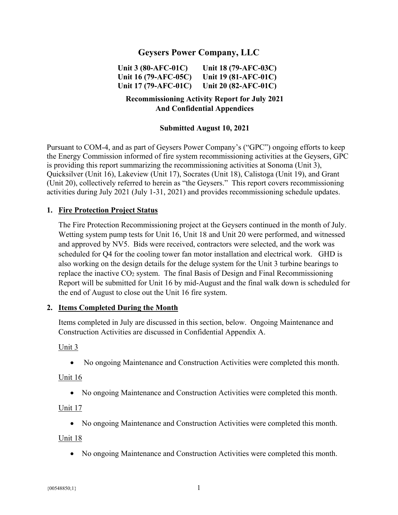# **Geysers Power Company, LLC**

**Unit 3 (80-AFC-01C) Unit 18 (79-AFC-03C) Unit 16 (79-AFC-05C) Unit 19 (81-AFC-01C) Unit 17 (79-AFC-01C) Unit 20 (82-AFC-01C)** 

## **Recommissioning Activity Report for July 2021 And Confidential Appendices**

#### **Submitted August 10, 2021**

Pursuant to COM-4, and as part of Geysers Power Company's ("GPC") ongoing efforts to keep the Energy Commission informed of fire system recommissioning activities at the Geysers, GPC is providing this report summarizing the recommissioning activities at Sonoma (Unit 3), Quicksilver (Unit 16), Lakeview (Unit 17), Socrates (Unit 18), Calistoga (Unit 19), and Grant (Unit 20), collectively referred to herein as "the Geysers." This report covers recommissioning activities during July 2021 (July 1-31, 2021) and provides recommissioning schedule updates.

#### **1. Fire Protection Project Status**

The Fire Protection Recommissioning project at the Geysers continued in the month of July. Wetting system pump tests for Unit 16, Unit 18 and Unit 20 were performed, and witnessed and approved by NV5. Bids were received, contractors were selected, and the work was scheduled for Q4 for the cooling tower fan motor installation and electrical work. GHD is also working on the design details for the deluge system for the Unit 3 turbine bearings to replace the inactive  $CO<sub>2</sub>$  system. The final Basis of Design and Final Recommissioning Report will be submitted for Unit 16 by mid-August and the final walk down is scheduled for the end of August to close out the Unit 16 fire system.

#### **2. Items Completed During the Month**

Items completed in July are discussed in this section, below. Ongoing Maintenance and Construction Activities are discussed in Confidential Appendix A.

Unit 3

No ongoing Maintenance and Construction Activities were completed this month.

#### Unit 16

No ongoing Maintenance and Construction Activities were completed this month.

#### Unit 17

No ongoing Maintenance and Construction Activities were completed this month.

Unit 18

No ongoing Maintenance and Construction Activities were completed this month.